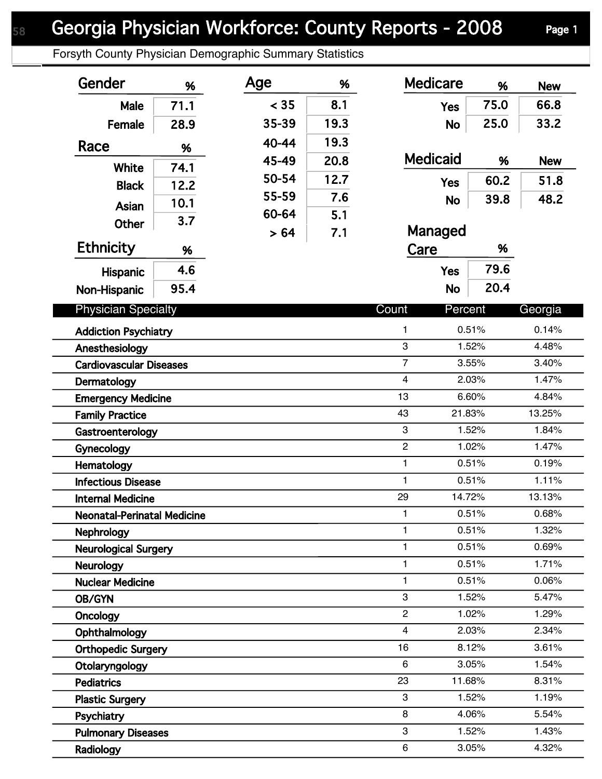Forsyth County Physician Demographic Summary Statistics

| Gender                             | %    | Age   | %    | <b>Medicare</b>         | %      | <b>New</b> |
|------------------------------------|------|-------|------|-------------------------|--------|------------|
| Male                               | 71.1 | < 35  | 8.1  | <b>Yes</b>              | 75.0   | 66.8       |
| Female                             | 28.9 | 35-39 | 19.3 | <b>No</b>               | 25.0   | 33.2       |
|                                    |      | 40-44 | 19.3 |                         |        |            |
| Race                               | %    | 45-49 | 20.8 | <b>Medicaid</b>         | %      | <b>New</b> |
| <b>White</b>                       | 74.1 | 50-54 | 12.7 |                         |        |            |
| <b>Black</b>                       | 12.2 | 55-59 | 7.6  | <b>Yes</b>              | 60.2   | 51.8       |
| Asian                              | 10.1 | 60-64 |      | <b>No</b>               | 39.8   | 48.2       |
| <b>Other</b>                       | 3.7  |       | 5.1  | Managed                 |        |            |
| <b>Ethnicity</b>                   |      | > 64  | 7.1  |                         | %      |            |
|                                    | %    |       |      | Care                    |        |            |
| <b>Hispanic</b>                    | 4.6  |       |      | <b>Yes</b>              | 79.6   |            |
| Non-Hispanic                       | 95.4 |       |      | <b>No</b>               | 20.4   |            |
| <b>Physician Specialty</b>         |      |       |      | Count<br>Percent        |        | Georgia    |
| <b>Addiction Psychiatry</b>        |      |       |      | $\mathbf{1}$            | 0.51%  | 0.14%      |
| Anesthesiology                     |      |       |      | 3                       | 1.52%  | 4.48%      |
| <b>Cardiovascular Diseases</b>     |      |       |      | $\overline{7}$          | 3.55%  | 3.40%      |
| Dermatology                        |      |       |      | $\overline{\mathbf{4}}$ | 2.03%  | 1.47%      |
| <b>Emergency Medicine</b>          |      |       |      | 13                      | 6.60%  | 4.84%      |
| <b>Family Practice</b>             |      |       |      | 43                      | 21.83% | 13.25%     |
| Gastroenterology                   |      |       |      | 3                       | 1.52%  | 1.84%      |
| Gynecology                         |      |       |      | $\overline{c}$          | 1.02%  | 1.47%      |
| Hematology                         |      |       |      | 1                       | 0.51%  | 0.19%      |
| <b>Infectious Disease</b>          |      |       |      | $\mathbf{1}$            | 0.51%  | 1.11%      |
| <b>Internal Medicine</b>           |      |       |      | 29                      | 14.72% | 13.13%     |
| <b>Neonatal-Perinatal Medicine</b> |      |       |      | $\mathbf{1}$            | 0.51%  | 0.68%      |
| Nephrology                         |      |       |      | $\mathbf{1}$            | 0.51%  | 1.32%      |
| <b>Neurological Surgery</b>        |      |       |      | 1                       | 0.51%  | 0.69%      |
| <b>Neurology</b>                   |      |       |      | 1                       | 0.51%  | 1.71%      |
| <b>Nuclear Medicine</b>            |      |       |      | $\mathbf{1}$            | 0.51%  | 0.06%      |
| <b>OB/GYN</b>                      |      |       |      | 3                       | 1.52%  | 5.47%      |
| Oncology                           |      |       |      | $\overline{c}$          | 1.02%  | 1.29%      |
| Ophthalmology                      |      |       |      | $\overline{4}$          | 2.03%  | 2.34%      |
| <b>Orthopedic Surgery</b>          |      |       |      | 16                      | 8.12%  | 3.61%      |
| Otolaryngology                     |      |       |      | 6                       | 3.05%  | 1.54%      |
| <b>Pediatrics</b>                  |      |       |      | 23                      | 11.68% | 8.31%      |
| <b>Plastic Surgery</b>             |      |       |      | 3                       | 1.52%  | 1.19%      |
| Psychiatry                         |      |       |      | 8                       | 4.06%  | 5.54%      |
| <b>Pulmonary Diseases</b>          |      |       |      | 3                       | 1.52%  | 1.43%      |
| Radiology                          |      |       |      | 6                       | 3.05%  | 4.32%      |